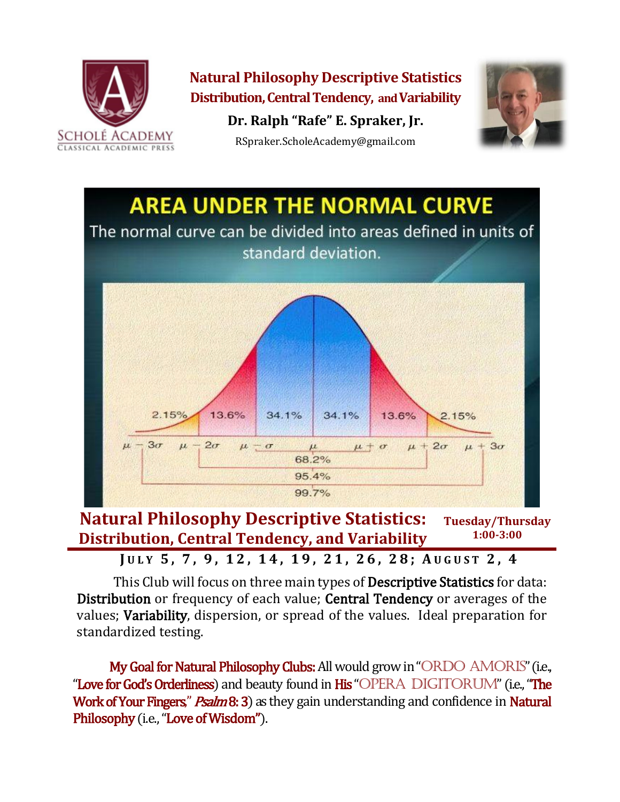

**Natural Philosophy Descriptive Statistics Distribution, Central Tendency, and Variability Dr. Ralph "Rafe" E. Spraker, Jr.**



RSpraker.ScholeAcademy@gmail.com



**Natural Philosophy Descriptive Statistics: Distribution, Central Tendency, and Variability Tuesday/Thursday 1:00-3:00**

**J U L Y 5 , 7 , 9 , 1 2 , 14, 19, 21, 26, 28; A U G U S T 2 , 4**

This Club will focus on three main types of **Descriptive Statistics** for data: Distribution or frequency of each value; Central Tendency or averages of the values; Variability, dispersion, or spread of the values. Ideal preparation for standardized testing.

My Goal for Natural Philosophy Clubs: All would grow in "ORDO AMORIS" (i.e., "Love for God's Orderliness) and beauty found in His "OPERA DIGITORUM" (i.e., "The Work of Your Fingers," *Psalm* 8: 3) as they gain understanding and confidence in Natural Philosophy (i.e., "Love of Wisdom").